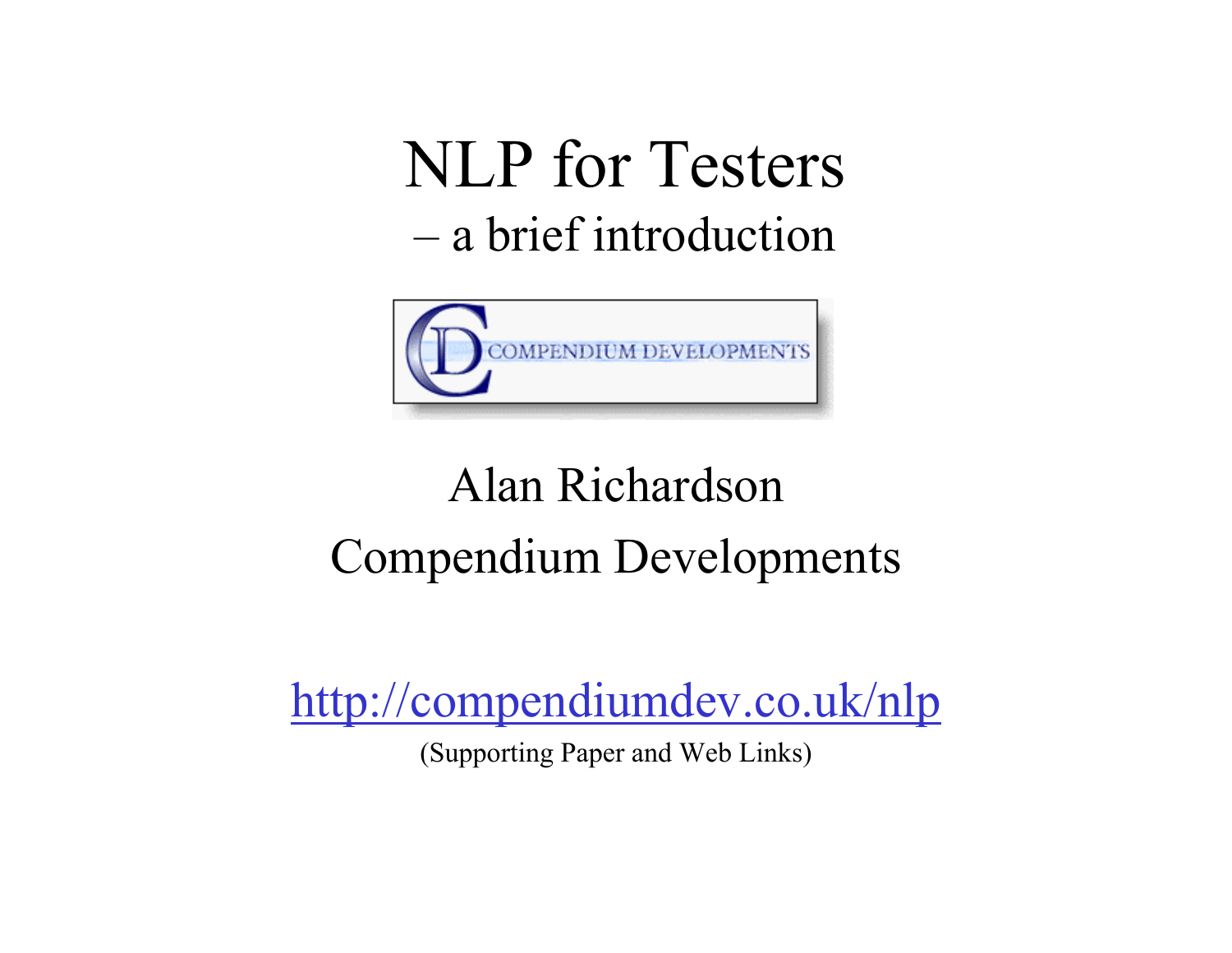## NLP for Testers –a brief introduction



## Alan RichardsonCompendium Developments

http://compendiumdev.co.uk/nlp

(Supporting Paper and Web Links)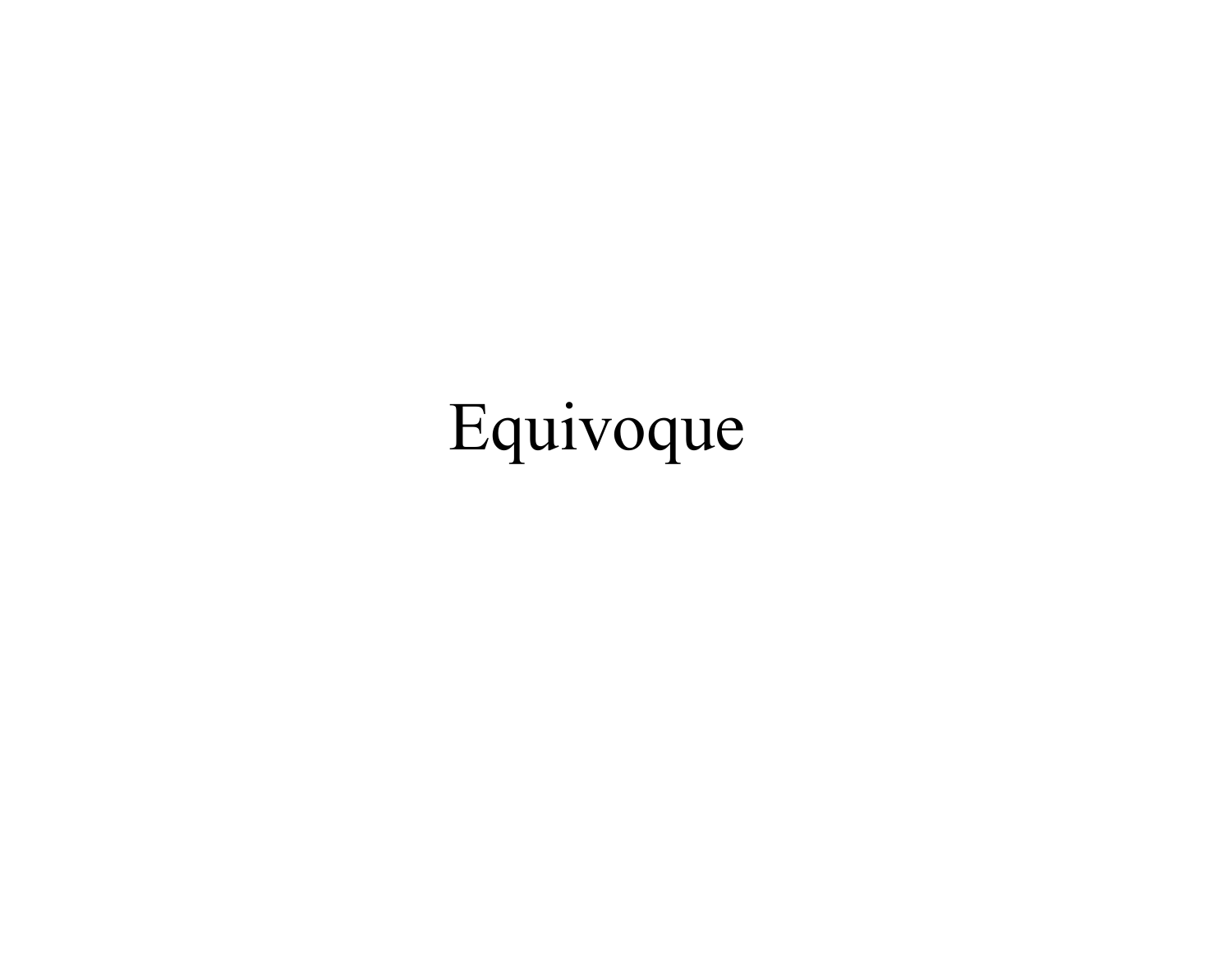## Equivoque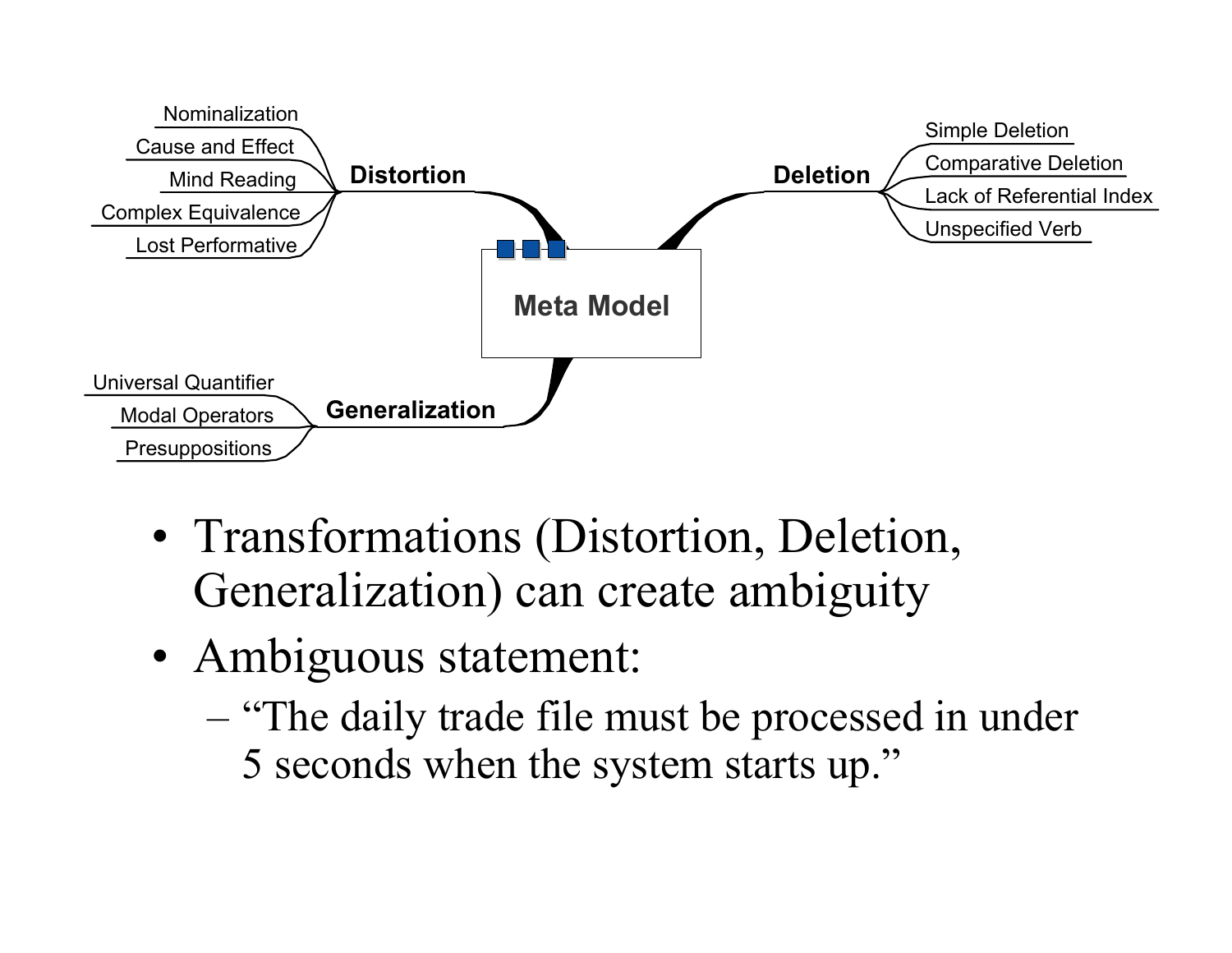

- Transformations (Distortion, Deletion, Generalization) can create ambiguity
- Ambiguous statement:
	- "The daily trade file must be processed in under 5 seconds when the system starts up."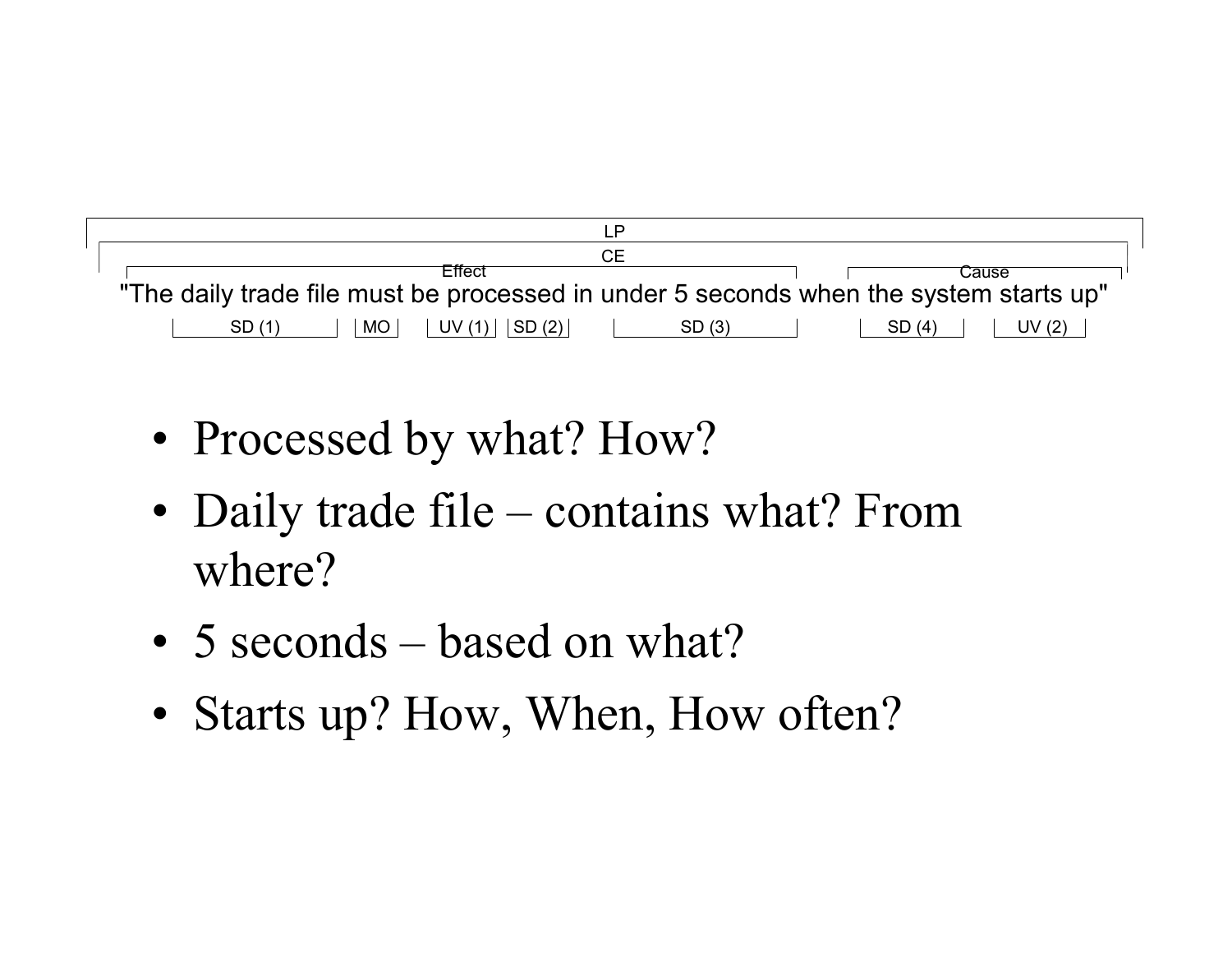

- Processed by what? How?
- Daily trade file contains what? From where?
- 5 seconds based on what?
- Starts up? How, When, How often?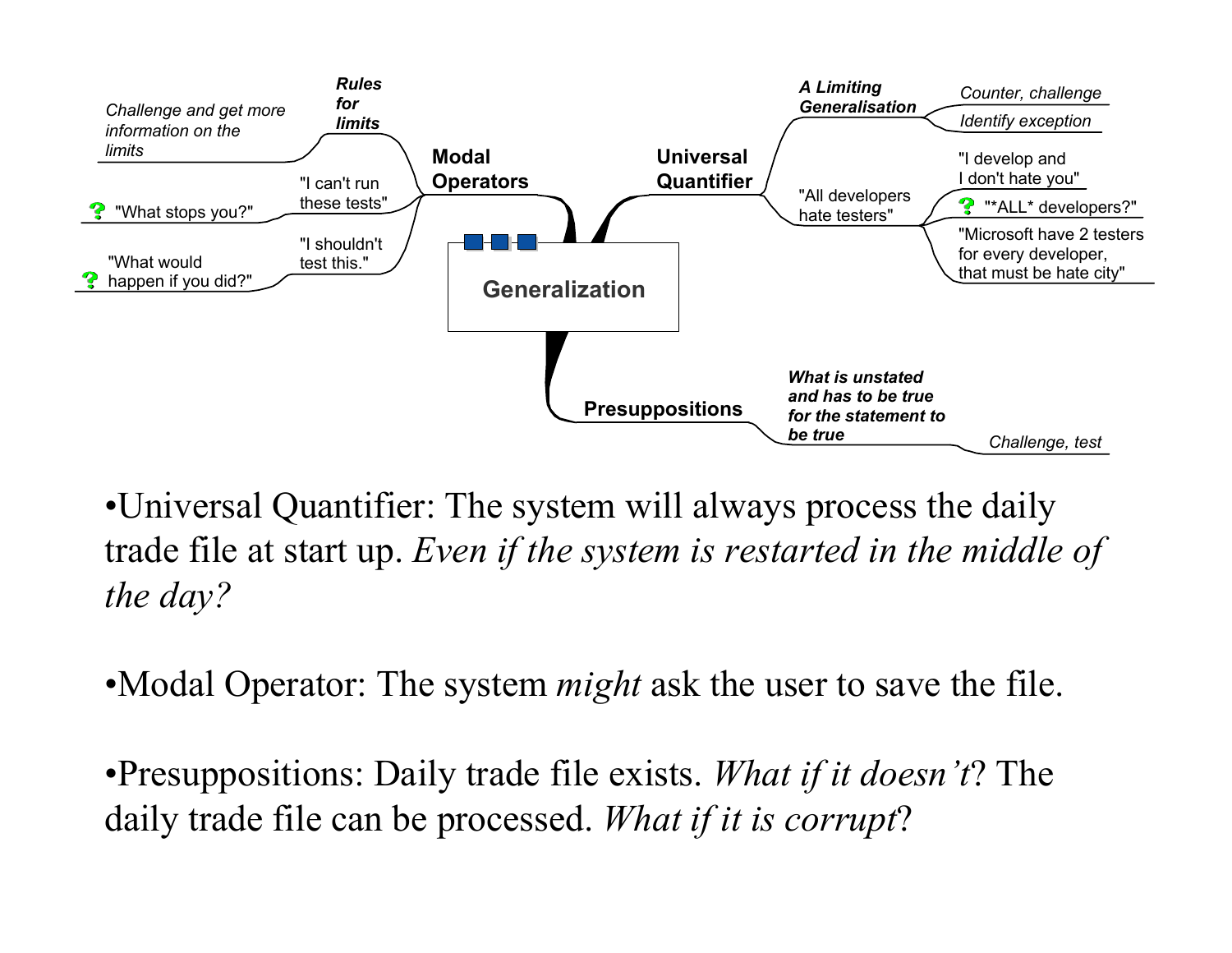

•Universal Quantifier: The system will always process the daily trade file at start up. *Even if the system is restarted in the middle of the day?*

•Modal Operator: The system *might* ask the user to save the file.

•Presuppositions: Daily trade file exists. *What if it doesn't*? The daily trade file can be processed. *What if it is corrupt*?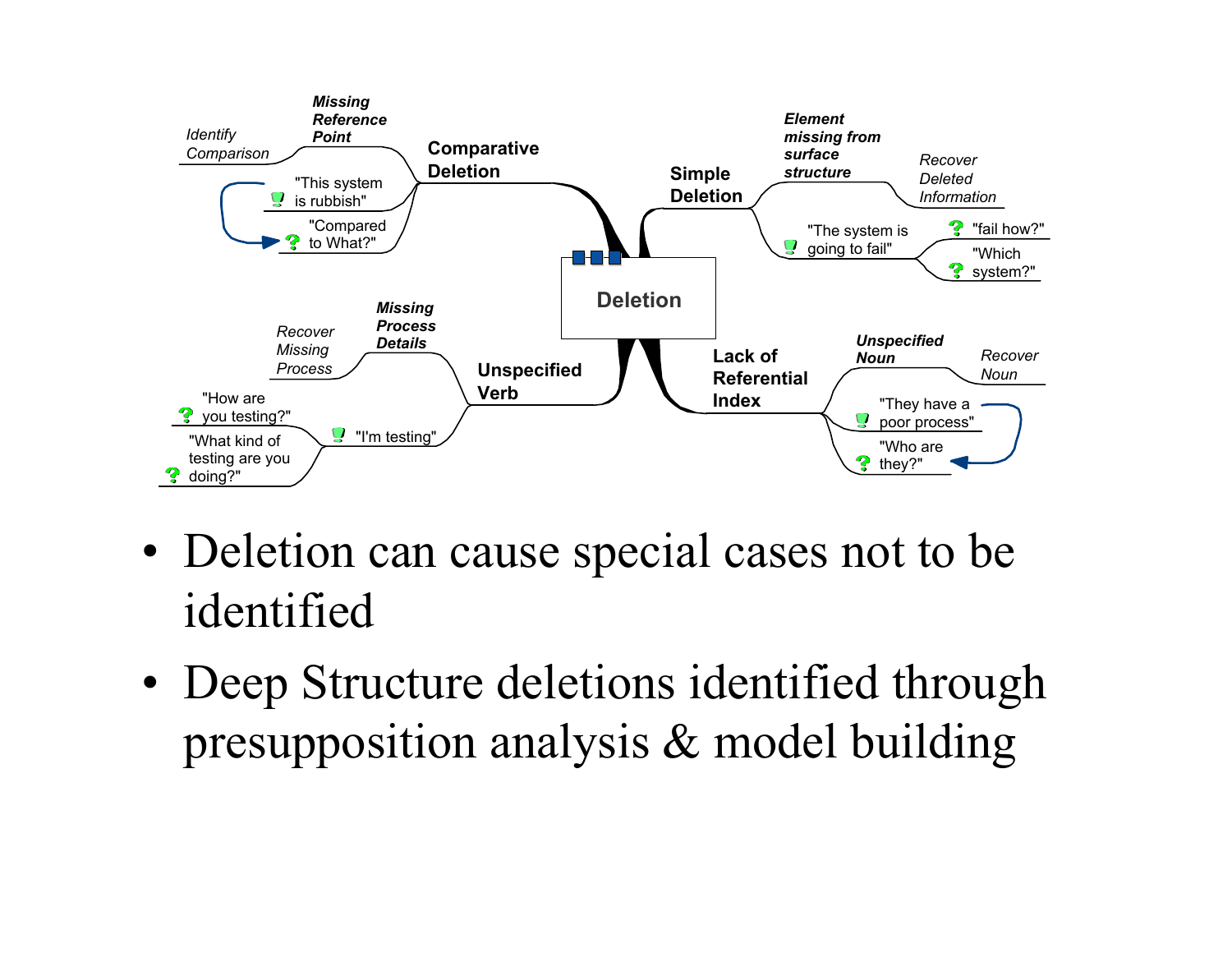

- Deletion can cause special cases not to be identified
- Deep Structure deletions identified through presupposition analysis & model building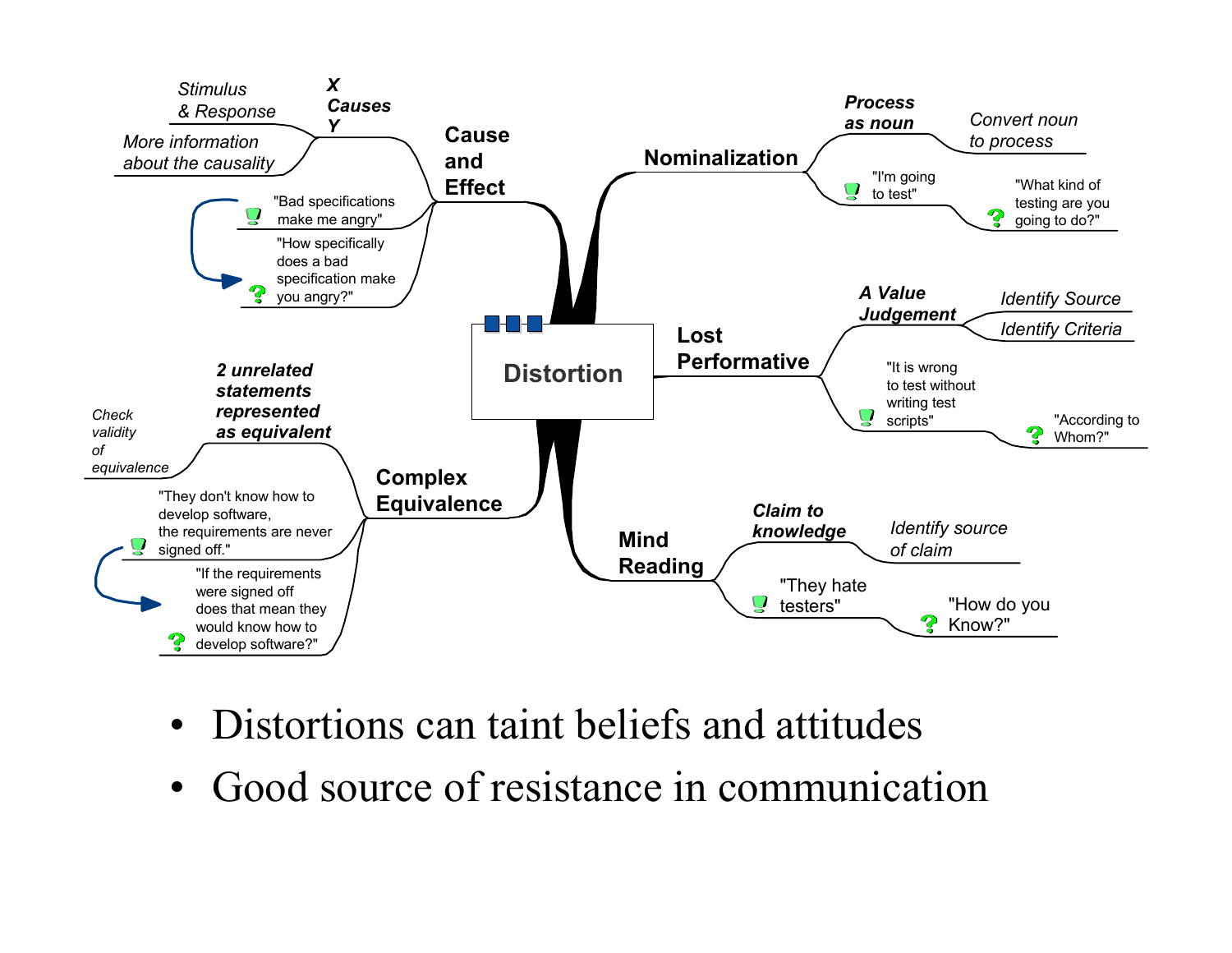

- Distortions can taint beliefs and attitudes
- •Good source of resistance in communication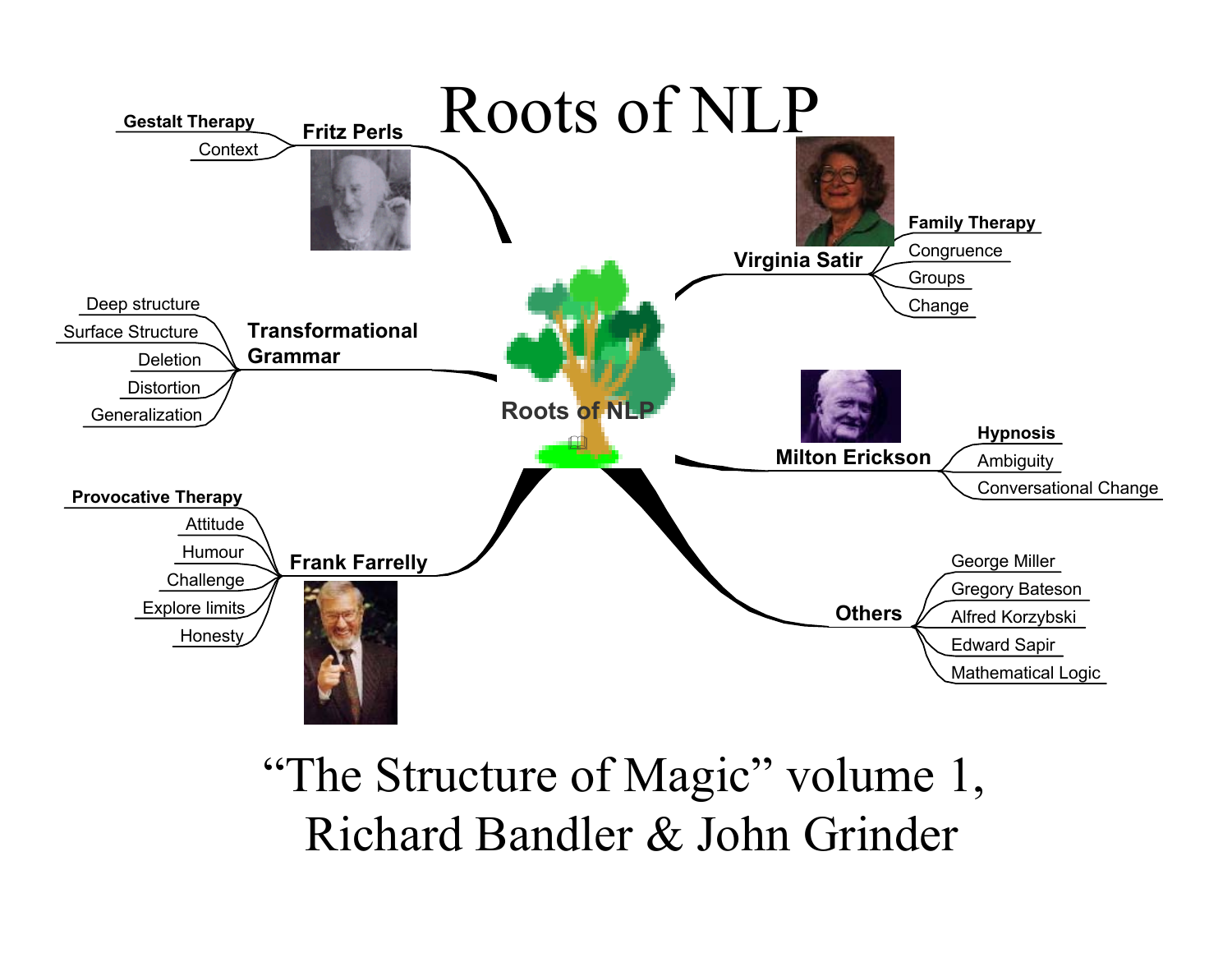

"The Structure of Magic" volume 1, Richard Bandler & John Grinder